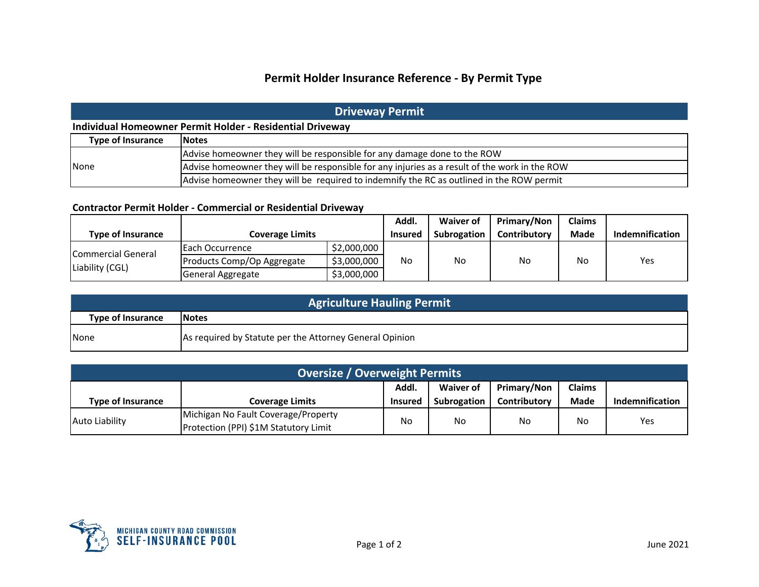# **Permit Holder Insurance Reference - By Permit Type**

## **Driveway Permit**

### **Individual Homeowner Permit Holder - Residential Driveway**

| <b>Type of Insurance</b> | <b>Notes</b>                                                                                  |
|--------------------------|-----------------------------------------------------------------------------------------------|
| None                     | Advise homeowner they will be responsible for any damage done to the ROW                      |
|                          | Advise homeowner they will be responsible for any injuries as a result of the work in the ROW |
|                          | Advise homeowner they will be required to indemnify the RC as outlined in the ROW permit      |

#### **Contractor Permit Holder - Commercial or Residential Driveway**

|                                       |                            |             | Addl.          | Waiver of   | Primary/Non         | <b>Claims</b> |                 |
|---------------------------------------|----------------------------|-------------|----------------|-------------|---------------------|---------------|-----------------|
| <b>Type of Insurance</b>              | <b>Coverage Limits</b>     |             | <b>Insured</b> | Subrogation | <b>Contributory</b> | <b>Made</b>   | Indemnification |
| Commercial General<br>Liability (CGL) | IEach Occurrence           | \$2,000,000 | No             | <b>No</b>   | No                  | No            | Yes             |
|                                       | Products Comp/Op Aggregate | \$3,000,000 |                |             |                     |               |                 |
|                                       | General Aggregate          | \$3,000,000 |                |             |                     |               |                 |

| <b>Agriculture Hauling Permit</b>        |                                                         |  |  |  |  |
|------------------------------------------|---------------------------------------------------------|--|--|--|--|
| <b>Type of Insurance</b><br><b>Notes</b> |                                                         |  |  |  |  |
| <b>None</b>                              | As required by Statute per the Attorney General Opinion |  |  |  |  |

| <b>Oversize / Overweight Permits</b>                      |                                                                              |                |             |                     |             |                 |  |
|-----------------------------------------------------------|------------------------------------------------------------------------------|----------------|-------------|---------------------|-------------|-----------------|--|
| Addl.<br>Primary/Non<br><b>Claims</b><br><b>Waiver of</b> |                                                                              |                |             |                     |             |                 |  |
| <b>Type of Insurance</b>                                  | <b>Coverage Limits</b>                                                       | <b>Insured</b> | Subrogation | <b>Contributory</b> | <b>Made</b> | Indemnification |  |
| <b>Auto Liability</b>                                     | Michigan No Fault Coverage/Property<br>Protection (PPI) \$1M Statutory Limit | No             | No.         | No                  | <b>No</b>   | Yes             |  |